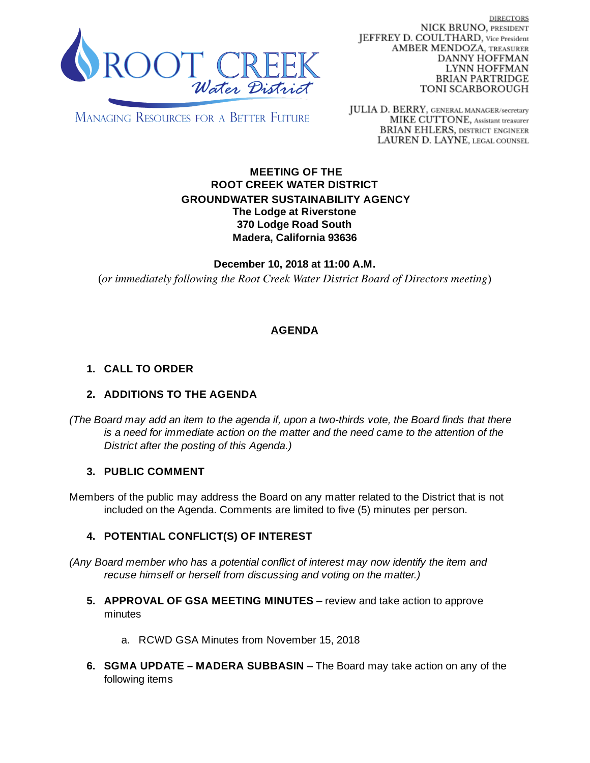

**DIRECTORS** NICK BRUNO, PRESIDENT JEFFREY D. COULTHARD, Vice President AMBER MENDOZA, TREASURER DANNY HOFFMAN LYNN HOFFMAN BRIAN PARTRIDGE TONI SCARBOROUGH

**MANAGING RESOURCES FOR A BETTER FUTURE** 

**JULIA D. BERRY, GENERAL MANAGER/secretary** MIKE CUTTONE, Assistant treasurer **BRIAN EHLERS, DISTRICT ENGINEER** LAUREN D. LAYNE, LEGAL COUNSEL

#### **MEETING OF THE ROOT CREEK WATER DISTRICT GROUNDWATER SUSTAINABILITY AGENCY The Lodge at Riverstone 370 Lodge Road South Madera, California 93636**

**December 10, 2018 at 11:00 A.M.** (*or immediately following the Root Creek Water District Board of Directors meeting* )

# **AGENDA**

## **1. CALL TO ORDER**

## **2. ADDITIONS TO THE AGENDA**

(The Board may add an item to the agenda if, upon a two-thirds vote, the Board finds that there *is a need for immediate action on the matter and the need came to the attention of the District after the posting of this Agenda.)*

#### **3. PUBLIC COMMENT**

Members of the public may address the Board on any matter related to the District that is not included on the Agenda. Comments are limited to five (5) minutes per person.

## **4. POTENTIAL CONFLICT(S) OF INTEREST**

- *(Any Board member who has a potential conflict of interest may now identify the item and recuse himself or herself from discussing and voting on the matter.)*
	- **5. APPROVAL OF GSA MEETING MINUTES** review and take action to approve minutes
		- a. RCWD GSA Minutes from November 15, 2018
	- **6. SGMA UPDATE – MADERA SUBBASIN** The Board may take action on any of the following items